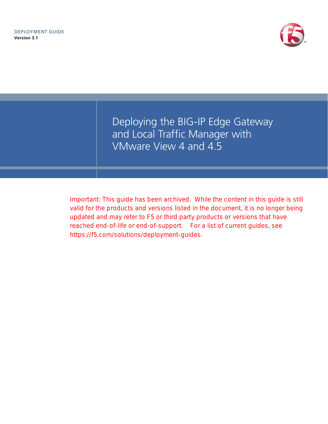

Deploying the BIG-IP Edge Gateway and Local Traffic Manager with VMware View 4 and 4.5

Important: This guide has been archived. While the content in this guide is still valid for the products and versions listed in the document, it is no longer being updated and may refer to F5 or third party products or versions that have reached end-of-life or end-of-support. For a list of current guides, see https://f5.com/solutions/deployment-guides.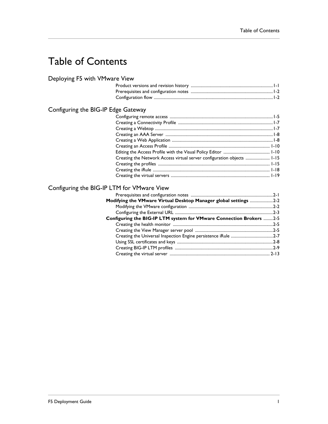# Table of Contents

## [Deploying F5 with VMware View](#page-3-0)

## [Configuring the BIG-IP Edge Gateway](#page-7-0)

| Creating the Network Access virtual server configuration objects  1-15 |  |
|------------------------------------------------------------------------|--|
|                                                                        |  |
|                                                                        |  |
|                                                                        |  |

## [Configuring the BIG-IP LTM for VMware View](#page-25-0)

| Modifying the VMware Virtual Desktop Manager global settings 2-2    |  |
|---------------------------------------------------------------------|--|
|                                                                     |  |
|                                                                     |  |
| Configuring the BIG-IP LTM system for VMware Connection Brokers 2-5 |  |
|                                                                     |  |
|                                                                     |  |
|                                                                     |  |
|                                                                     |  |
|                                                                     |  |
|                                                                     |  |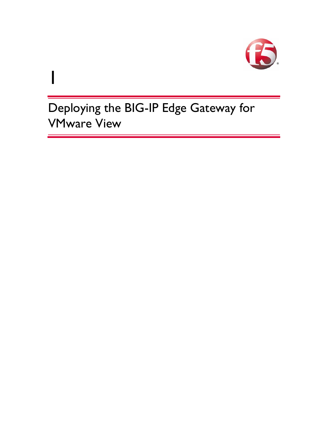

Deploying the BIG-IP Edge Gateway for VMware View

1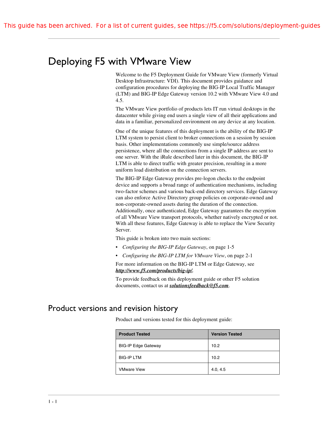# <span id="page-3-0"></span>Deploying F5 with VMware View

Welcome to the F5 Deployment Guide for VMware View (formerly Virtual Desktop Infrastructure: VDI). This document provides guidance and configuration procedures for deploying the BIG-IP Local Traffic Manager (LTM) and BIG-IP Edge Gateway version 10.2 with VMware View 4.0 and 4.5.

The VMware View portfolio of products lets IT run virtual desktops in the datacenter while giving end users a single view of all their applications and data in a familiar, personalized environment on any device at any location.

One of the unique features of this deployment is the ability of the BIG-IP LTM system to persist client to broker connections on a session by session basis. Other implementations commonly use simple/source address persistence, where all the connections from a single IP address are sent to one server. With the iRule described later in this document, the BIG-IP LTM is able to direct traffic with greater precision, resulting in a more uniform load distribution on the connection servers.

The BIG-IP Edge Gateway provides pre-logon checks to the endpoint device and supports a broad range of authentication mechanisms, including two-factor schemes and various back-end directory services. Edge Gateway can also enforce Active Directory group policies on corporate-owned and non-corporate-owned assets during the duration of the connection. Additionally, once authenticated, Edge Gateway guarantees the encryption of all VMware View transport protocols, whether natively encrypted or not. With all these features, Edge Gateway is able to replace the View Security Server.

This guide is broken into two main sections:

- *[Configuring the BIG-IP Edge Gateway](#page-7-0)*, on page 1-5
- *[Configuring the BIG-IP LTM for VMware View](#page-25-2)*, on page 2-1

For more information on the BIG-IP LTM or Edge Gateway, see *http://www.f5.com/products/big-ip/.*

[To provide feedback on this deployment guide or other F5 solution](mailto:solutionsfeedback@f5.com)  [documents, contact us at](mailto:solutionsfeedback@f5.com) *solutionsfeedback@f5.com*.

## <span id="page-3-1"></span>Product versions and revision history

Product and versions tested for this deployment guide:

| <b>Product Tested</b>      | <b>Version Tested</b> |
|----------------------------|-----------------------|
| <b>BIG-IP Edge Gateway</b> | 10.2                  |
| <b>BIG-IP LTM</b>          | 10.2                  |
| <b>VMware View</b>         | 4.0, 4.5              |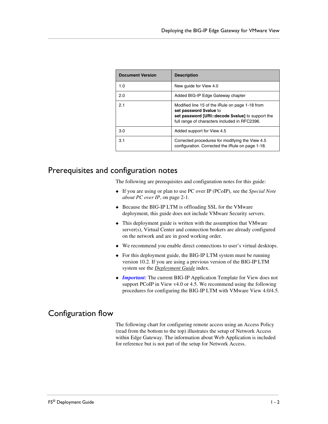| <b>Document Version</b> | <b>Description</b>                                                                                                                                                                |
|-------------------------|-----------------------------------------------------------------------------------------------------------------------------------------------------------------------------------|
| 1.0                     | New guide for View 4.0                                                                                                                                                            |
| 2.0                     | Added BIG-IP Edge Gateway chapter                                                                                                                                                 |
| 2.1                     | Modified line 15 of the iRule on page 1-18 from<br>set password \$value to<br>set password [URI:: decode \$value] to support the<br>full range of characters included in RFC2396. |
| 3.0                     | Added support for View 4.5                                                                                                                                                        |
| 3.1                     | Corrected procedures for modifying the View 4.5<br>configuration. Corrected the iRule on page 1-18.                                                                               |

## <span id="page-4-0"></span>Prerequisites and configuration notes

The following are prerequisites and configuration notes for this guide:

- ◆ If you are using or plan to use PC over IP (PCoIP), see the *[Special Note](#page-25-3)  [about PC over IP](#page-25-3)*, on page 2-1.
- ◆ Because the BIG-IP LTM is offloading SSL for the VMware deployment, this guide does not include VMware Security servers.
- ◆ This deployment guide is written with the assumption that VMware server(s), Virtual Center and connection brokers are already configured on the network and are in good working order.
- ◆ We recommend you enable direct connections to user's virtual desktops.
- ◆ [For this deployment guide, the BIG-IP LTM system must be running](http://www.f5.com/solutions/resources/deployment-guides/index.html#letterM)  [version 10.2. If you are using a previous version of the BIG-IP LTM](http://www.f5.com/solutions/resources/deployment-guides/index.html#letterM)  [system see the](http://www.f5.com/solutions/resources/deployment-guides/index.html#letterM) *Deployment Guide* index.
- ◆ *Important:* The current BIG-IP Application Template for View does not support PCoIP in View v4.0 or 4.5. We recommend using the following procedures for configuring the BIG-IP LTM with VMware View 4.0/4.5.

## <span id="page-4-1"></span>Configuration flow

The following chart for configuring remote access using an Access Policy (read from the bottom to the top) illustrates the setup of Network Access within Edge Gateway. The information about Web Application is included for reference but is not part of the setup for Network Access.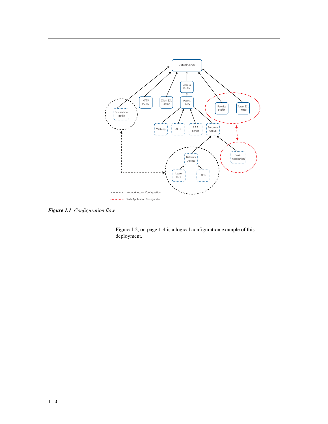

*Figure 1.1 Configuration flow*

Figure [1.2, on page 1-4](#page-6-0) is a logical configuration example of this deployment.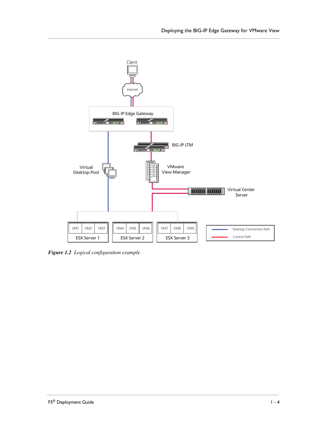

<span id="page-6-0"></span>*Figure 1.2 Logical configuration example*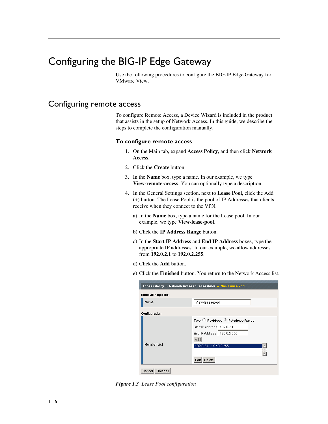# <span id="page-7-0"></span>Configuring the BIG-IP Edge Gateway

Use the following procedures to configure the BIG-IP Edge Gateway for VMware View.

## <span id="page-7-1"></span>Configuring remote access

To configure Remote Access, a Device Wizard is included in the product that assists in the setup of Network Access. In this guide, we describe the steps to complete the configuration manually.

#### **To configure remote access**

- 1. On the Main tab, expand **Access Policy**, and then click **Network Access**.
- 2. Click the **Create** button.
- 3. In the **Name** box, type a name. In our example, we type **View-remote-access**. You can optionally type a description.
- 4. In the General Settings section, next to **Lease Pool**, click the Add (**+**) button. The Lease Pool is the pool of IP Addresses that clients receive when they connect to the VPN.
	- a) In the **Name** box, type a name for the Lease pool. In our example, we type **View-lease-pool**.
	- b) Click the **IP Address Range** button.
	- c) In the **Start IP Address** and **End IP Address** boxes, type the appropriate IP addresses. In our example, we allow addresses from **192.0.2.1** to **192.0.2.255**.
	- d) Click the **Add** button.
	- e) Click the **Finished** button. You return to the Network Access list.

| Access Policy » Network Access : Lease Pools » New Lease Pool |                                                                                                                                                         |  |
|---------------------------------------------------------------|---------------------------------------------------------------------------------------------------------------------------------------------------------|--|
| <b>General Properties</b>                                     |                                                                                                                                                         |  |
| Name                                                          | View-lease-pool                                                                                                                                         |  |
| <b>Configuration</b>                                          |                                                                                                                                                         |  |
| Member List                                                   | Type: ○ IP Address ● IP Address Range<br>Start IP Address 192.0.2.1<br>End IP Address   192.0.2.255<br>Add<br>192.0.2.1 - 192.0.2.255<br>Delete<br>Edit |  |
| Finished<br>Cancel                                            |                                                                                                                                                         |  |

*Figure 1.3 Lease Pool configuration*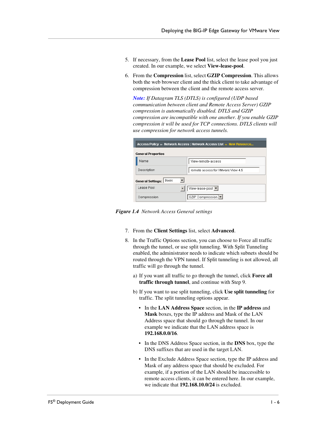- 5. If necessary, from the **Lease Pool** list, select the lease pool you just created. In our example, we select **View-lease-pool**.
- 6. From the **Compression** list, select **GZIP Compression**. This allows both the web browser client and the thick client to take advantage of compression between the client and the remote access server.

*Note: If Datagram TLS (DTLS) is configured (UDP based communication between client and Remote Access Server) GZIP compression is automatically disabled. DTLS and GZIP compression are incompatible with one another. If you enable GZIP compression it will be used for TCP connections. DTLS clients will use compression for network access tunnels.*

| Access Policy » Network Access: Network Access List » New Resource |                                   |  |  |
|--------------------------------------------------------------------|-----------------------------------|--|--|
| <b>General Properties</b>                                          |                                   |  |  |
| Name                                                               | View-remote-access                |  |  |
| Description                                                        | remote access for VMware View 4.5 |  |  |
| Basic<br><b>General Settings:</b>                                  |                                   |  |  |
| Lease Pool                                                         | View-lease-pool                   |  |  |
| Compression                                                        | GZIP Compression   ▼              |  |  |

*Figure 1.4 Network Access General settings*

- 7. From the **Client Settings** list, select **Advanced**.
- 8. In the Traffic Options section, you can choose to Force all traffic through the tunnel, or use split tunneling. With Split Tunneling enabled, the administrator needs to indicate which subnets should be routed through the VPN tunnel. If Split tunneling is not allowed, all traffic will go through the tunnel.
	- a) If you want all traffic to go through the tunnel, click **Force all traffic through tunnel**, and continue with Step 9.
	- b) If you want to use split tunneling, click **Use split tunneling** for traffic. The split tunneling options appear.
		- In the **LAN Address Space** section, in the **IP address** and **Mask** boxes, type the IP address and Mask of the LAN Address space that should go through the tunnel. In our example we indicate that the LAN address space is **192.168.0.0/16**.
		- In the DNS Address Space section, in the **DNS** box, type the DNS suffixes that are used in the target LAN.
		- In the Exclude Address Space section, type the IP address and Mask of any address space that should be excluded. For example, if a portion of the LAN should be inaccessible to remote access clients, it can be entered here. In our example, we indicate that **192.168.10.0/24** is excluded.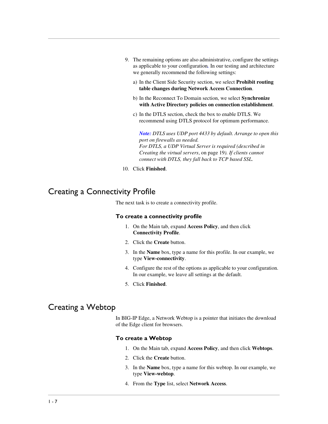- 9. The remaining options are also administrative, configure the settings as applicable to your configuration*.* In our testing and architecture we generally recommend the following settings:
	- a) In the Client Side Security section, we select **Prohibit routing table changes during Network Access Connection**.
	- b) In the Reconnect To Domain section, we select **Synchronize with Active Directory policies on connection establishment**.
	- c) In the DTLS section, check the box to enable DTLS. We recommend using DTLS protocol for optimum performance.

*Note: DTLS uses UDP port 4433 by default. Arrange to open this port on firewalls as needed. For DTLS, a UDP Virtual Server is required (described in [Creating the virtual servers](#page-21-0)*, on page 19*). If clients cannot connect with DTLS, they fall back to TCP based SSL.*

10. Click **Finished**.

# <span id="page-9-0"></span>Creating a Connectivity Profile

The next task is to create a connectivity profile.

#### **To create a connectivity profile**

- 1. On the Main tab, expand **Access Policy**, and then click **Connectivity Profile**.
- 2. Click the **Create** button.
- 3. In the **Name** box, type a name for this profile. In our example, we type **View-connectivity**.
- 4. Configure the rest of the options as applicable to your configuration. In our example, we leave all settings at the default.
- 5. Click **Finished**.

## <span id="page-9-1"></span>Creating a Webtop

In BIG-IP Edge, a Network Webtop is a pointer that initiates the download of the Edge client for browsers.

#### **To create a Webtop**

- 1. On the Main tab, expand **Access Policy**, and then click **Webtops**.
- 2. Click the **Create** button.
- 3. In the **Name** box, type a name for this webtop. In our example, we type **View-webtop**.
- 4. From the **Type** list, select **Network Access**.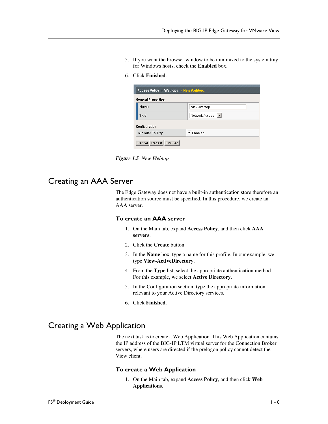- 5. If you want the browser window to be minimized to the system tray for Windows hosts, check the **Enabled** box.
- 6. Click **Finished**.

| Access Policy » Webtops » New Webtop |                                                      |  |
|--------------------------------------|------------------------------------------------------|--|
| <b>General Properties</b>            |                                                      |  |
| Name                                 | View-webtop                                          |  |
| Type                                 | Network Access<br>$\left\vert \mathbf{v}\right\vert$ |  |
| <b>Configuration</b>                 |                                                      |  |
| Minimize To Tray                     | $\nabla$ Enabled                                     |  |
| Repeat Finished<br>Cancel            |                                                      |  |

*Figure 1.5 New Webtop*

## <span id="page-10-0"></span>Creating an AAA Server

The Edge Gateway does not have a built-in authentication store therefore an authentication source must be specified. In this procedure, we create an AAA server.

#### **To create an AAA server**

- 1. On the Main tab, expand **Access Policy**, and then click **AAA servers**.
- 2. Click the **Create** button.
- 3. In the **Name** box, type a name for this profile. In our example, we type **View-ActiveDirectory**.
- 4. From the **Type** list, select the appropriate authentication method. For this example, we select **Active Directory**.
- 5. In the Configuration section, type the appropriate information relevant to your Active Directory services.
- 6. Click **Finished**.

## <span id="page-10-1"></span>Creating a Web Application

The next task is to create a Web Application. This Web Application contains the IP address of the BIG-IP LTM virtual server for the Connection Broker servers, where users are directed if the prelogon policy cannot detect the View client.

#### **To create a Web Application**

1. On the Main tab, expand **Access Policy**, and then click **Web Applications**.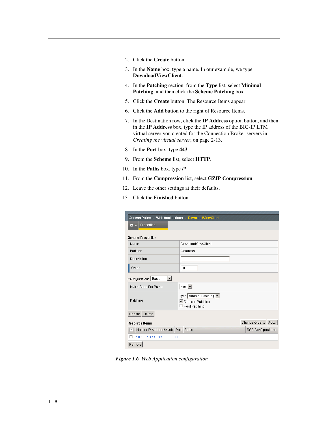- 2. Click the **Create** button.
- 3. In the **Name** box, type a name. In our example, we type **DownloadViewClient**.
- 4. In the **Patching** section, from the **Type** list, select **Minimal Patching**, and then click the **Scheme Patching** box.
- 5. Click the **Create** button. The Resource Items appear.
- 6. Click the **Add** button to the right of Resource Items.
- 7. In the Destination row, click the **IP Address** option button, and then in the **IP Address** box, type the IP address of the BIG-IP LTM virtual server you created for the Connection Broker servers in *[Creating the virtual server](#page-37-1)*, on page 2-13.
- 8. In the **Port** box, type **443**.
- 9. From the **Scheme** list, select **HTTP**.
- 10. In the **Paths** box, type **/\***
- 11. From the **Compression** list, select **GZIP Compression**.
- 12. Leave the other settings at their defaults.
- 13. Click the **Finished** button.

| Access Policy » Web Applications » DownloadViewClient |      |                                                                        |  |                    |
|-------------------------------------------------------|------|------------------------------------------------------------------------|--|--------------------|
| Properties<br>O.                                      |      |                                                                        |  |                    |
| <b>General Properties</b>                             |      |                                                                        |  |                    |
| Name                                                  |      | DownloadViewClient                                                     |  |                    |
| Partition                                             |      | Common                                                                 |  |                    |
| Description                                           |      |                                                                        |  |                    |
| Order                                                 |      | 0                                                                      |  |                    |
| $\vert$<br>Configuration: Basic                       |      |                                                                        |  |                    |
| Match Case For Paths                                  |      | $Yes$ $\blacksquare$                                                   |  |                    |
| Patching                                              |      | Type   Minimal Patching  <br>☑ Scheme Patching<br>$\Box$ Host Patching |  |                    |
| Delete<br>Update                                      |      |                                                                        |  |                    |
| Change Order<br>Add<br><b>Resource Items</b>          |      |                                                                        |  |                    |
| Host or IP Address/Mask<br>$\checkmark$               | Port | Paths                                                                  |  | SSO Configurations |
| 10.105.132.40/32                                      | 80   | 广                                                                      |  |                    |
| Remove                                                |      |                                                                        |  |                    |

*Figure 1.6 Web Application configuration*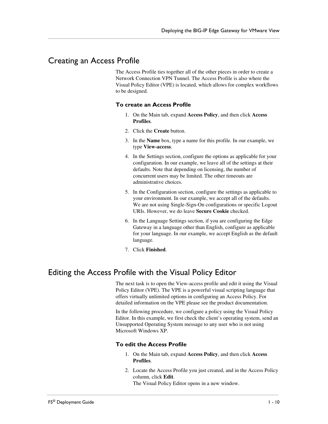## <span id="page-12-0"></span>Creating an Access Profile

The Access Profile ties together all of the other pieces in order to create a Network Connection VPN Tunnel. The Access Profile is also where the Visual Policy Editor (VPE) is located, which allows for complex workflows to be designed.

#### **To create an Access Profile**

- 1. On the Main tab, expand **Access Policy**, and then click **Access Profiles**.
- 2. Click the **Create** button.
- 3. In the **Name** box, type a name for this profile. In our example, we type **View-access**.
- 4. In the Settings section, configure the options as applicable for your configuration. In our example, we leave all of the settings at their defaults. Note that depending on licensing, the number of concurrent users may be limited. The other timeouts are administrative choices.
- 5. In the Configuration section, configure the settings as applicable to your environment. In our example, we accept all of the defaults. We are not using Single-Sign-On configurations or specific Logout URIs. However, we do leave **Secure Cookie** checked.
- 6. In the Language Settings section, if you are configuring the Edge Gateway in a language other than English, configure as applicable for your language. In our example, we accept English as the default language.
- 7. Click **Finished**.

## <span id="page-12-1"></span>Editing the Access Profile with the Visual Policy Editor

The next task is to open the View-access profile and edit it using the Visual Policy Editor (VPE). The VPE is a powerful visual scripting language that offers virtually unlimited options in configuring an Access Policy. For detailed information on the VPE please see the product documentation.

In the following procedure, we configure a policy using the Visual Policy Editor. In this example, we first check the client's operating system, send an Unsupported Operating System message to any user who is not using Microsoft Windows XP.

#### **To edit the Access Profile**

- 1. On the Main tab, expand **Access Policy**, and then click **Access Profiles**.
- 2. Locate the Access Profile you just created, and in the Access Policy column, click **Edit**.

The Visual Policy Editor opens in a new window.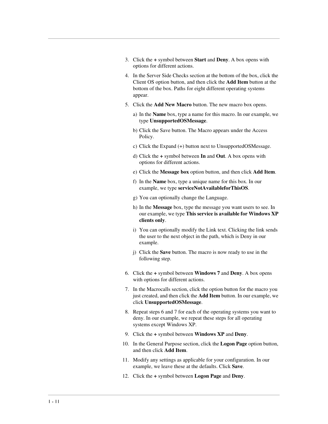- 3. Click the **+** symbol between **Start** and **Deny**. A box opens with options for different actions.
- 4. In the Server Side Checks section at the bottom of the box, click the Client OS option button, and then click the **Add Item** button at the bottom of the box. Paths for eight different operating systems appear.
- 5. Click the **Add New Macro** button. The new macro box opens.
	- a) In the **Name** box, type a name for this macro. In our example, we type **UnsupportedOSMessage**.
	- b) Click the Save button. The Macro appears under the Access Policy.
	- c) Click the Expand (+) button next to UnsupportedOSMessage.
	- d) Click the **+** symbol between **In** and **Out**. A box opens with options for different actions.
	- e) Click the **Message box** option button, and then click **Add Item**.
	- f) In the **Name** box, type a unique name for this box. In our example, we type **serviceNotAvailableforThisOS**.
	- g) You can optionally change the Language.
	- h) In the **Message** box, type the message you want users to see. In our example, we type **This service is available for Windows XP clients only**.
	- i) You can optionally modify the Link text. Clicking the link sends the user to the next object in the path, which is Deny in our example.
	- j) Click the **Save** button. The macro is now ready to use in the following step.
- <span id="page-13-0"></span>6. Click the **+** symbol between **Windows 7** and **Deny**. A box opens with options for different actions.
- <span id="page-13-1"></span>7. In the Macrocalls section, click the option button for the macro you just created, and then click the **Add Item** button. In our example, we click **UnsupportedOSMessage**.
- 8. Repeat steps [6](#page-13-0) and [7](#page-13-1) for each of the operating systems you want to deny. In our example, we repeat these steps for all operating systems except Windows XP.
- 9. Click the **+** symbol between **Windows XP** and **Deny**.
- 10. In the General Purpose section, click the **Logon Page** option button, and then click **Add Item**.
- 11. Modify any settings as applicable for your configuration. In our example, we leave these at the defaults. Click **Save**.
- 12. Click the **+** symbol between **Logon Page** and **Deny**.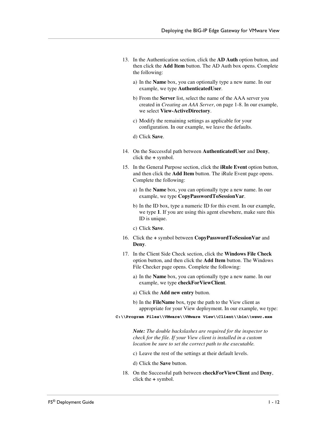- 13. In the Authentication section, click the **AD Auth** option button, and then click the **Add Item** button. The AD Auth box opens. Complete the following:
	- a) In the **Name** box, you can optionally type a new name. In our example, we type **AuthenticatedUser**.
	- b) From the **Server** list, select the name of the AAA server you created in *[Creating an AAA Server](#page-10-0)*, on page 1-8. In our example, we select **View-ActiveDirectory**.
	- c) Modify the remaining settings as applicable for your configuration. In our example, we leave the defaults.
	- d) Click **Save**.
- 14. On the Successful path between **AuthenticatedUser** and **Deny**, click the **+** symbol.
- 15. In the General Purpose section, click the **iRule Event** option button, and then click the **Add Item** button. The iRule Event page opens. Complete the following:
	- a) In the **Name** box, you can optionally type a new name. In our example, we type **CopyPasswordToSessionVar**.
	- b) In the ID box, type a numeric ID for this event. In our example, we type **1**. If you are using this agent elsewhere, make sure this ID is unique.
	- c) Click **Save**.
- 16. Click the **+** symbol between **CopyPasswordToSessionVar** and **Deny**.
- 17. In the Client Side Check section, click the **Windows File Check** option button, and then click the **Add Item** button. The Windows File Checker page opens. Complete the following:
	- a) In the **Name** box, you can optionally type a new name. In our example, we type **checkForViewClient**.
	- a) Click the **Add new entry** button.
	- b) In the **FileName** box, type the path to the View client as appropriate for your View deployment. In our example, we type:
- **C:\\Program Files\\VMware\\VMware View\\Client\\bin\\wswc.exe**

*Note: The double backslashes are required for the inspector to check for the file. If your View client is installed in a custom location be sure to set the correct path to the executable.*

- c) Leave the rest of the settings at their default levels.
- d) Click the **Save** button.
- 18. On the Successful path between **checkForViewClient** and **Deny**, click the **+** symbol.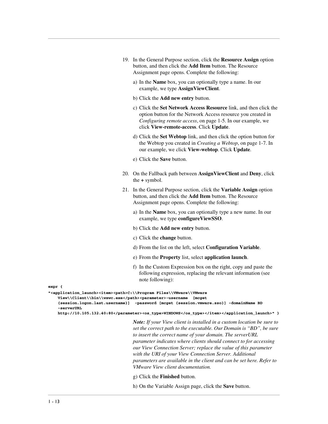| 19. In the General Purpose section, click the <b>Resource Assign</b> option |
|-----------------------------------------------------------------------------|
| button, and then click the <b>Add Item</b> button. The Resource             |
| Assignment page opens. Complete the following:                              |

- a) In the **Name** box, you can optionally type a name. In our example, we type **AssignViewClient**.
- b) Click the **Add new entry** button.
- c) Click the **Set Network Access Resource** link, and then click the option button for the Network Access resource you created in *[Configuring remote access](#page-7-1)*, on page 1-5. In our example, we click **View-remote-access**. Click **Update**.
- d) Click the **Set Webtop** link, and then click the option button for the Webtop you created in *[Creating a Webtop](#page-9-1)*, on page 1-7. In our example, we click **View-webtop**. Click **Update**.
- e) Click the **Save** button.
- 20. On the Fallback path between **AssignViewClient** and **Deny**, click the **+** symbol.
- 21. In the General Purpose section, click the **Variable Assign** option button, and then click the **Add Item** button. The Resource Assignment page opens. Complete the following:
	- a) In the **Name** box, you can optionally type a new name. In our example, we type **configureViewSSO**.
	- b) Click the **Add new entry** button.
	- c) Click the **change** button.
	- d) From the list on the left, select **Configuration Variable**.
	- e) From the **Property** list, select **application launch**.
	- f) In the Custom Expression box on the right, copy and paste the following expression, replacing the relevant information (see note following):

**expr {**

```
"<application_launch><item><path>C:\\Program Files\\VMware\\VMware 
   View\\Client\\bin\\wswc.exe</path><parameter>-username [mcget 
    {session.logon.last.username}] -password [mcget {session.vmware.sso}] -domainName BD 
    -serverURL 
   http://10.105.132.40:80</parameter><os_type>WINDOWS</os_type></item></application_launch>" }
```
*Note: If your View client is installed in a custom location be sure to set the correct path to the executable. Our Domain is "BD", be sure to insert the correct name of your domain. The serverURL parameter indicates where clients should connect to for accessing our View Connection Server; replace the value of this parameter with the URI of your View Connection Server. Additional parameters are available in the client and can be set here. Refer to VMware View client documentation.*

g) Click the **Finished** button.

h) On the Variable Assign page, click the **Save** button.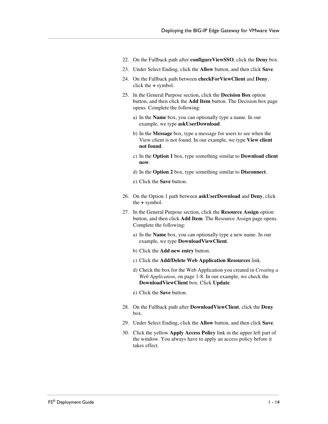- 22. On the Fallback path after **configureViewSSO**, click the **Deny** box.
- 23. Under Select Ending, click the **Allow** button, and then click **Save**.
- 24. On the Fallback path between **checkForViewClient** and **Deny**, click the **+** symbol.
- 25. In the General Purpose section, click the **Decision Box** option button, and then click the **Add Item** button. The Decision box page opens. Complete the following:
	- a) In the **Name** box, you can optionally type a name. In our example, we type **askUserDownload**.
	- b) In the **Message** box, type a message for users to see when the View client is not found. In our example, we type **View client not found**.
	- c) In the **Option 1** box, type something similar to **Download client now**.
	- d) In the **Option 2** box, type something similar to **Disconnect**.
	- e) Click the **Save** button.
- 26. On the Option 1 path between **askUserDownload** and **Deny**, click the **+** symbol.
- 27. In the General Purpose section, click the **Resource Assign** option button, and then click **Add Item**. The Resource Assign page opens. Complete the following:
	- a) In the **Name** box, you can optionally type a new name. In our example, we type **DownloadViewClient**.
	- b) Click the **Add new entry** button.
	- c) Click the **Add/Delete Web Application Resources** link.
	- d) Check the box for the Web Application you created in *[Creating a](#page-10-1)  [Web Application](#page-10-1)*, on page 1-8. In our example, we check the **DownloadViewClient** box. Click **Update**.
	- e) Click the **Save** button.
- 28. On the Fallback path after **DownloadViewClient**, click the **Deny** box.
- 29. Under Select Ending, click the **Allow** button, and then click **Save**.
- 30. Click the yellow **Apply Access Policy** link in the upper left part of the window. You always have to apply an access policy before it takes effect.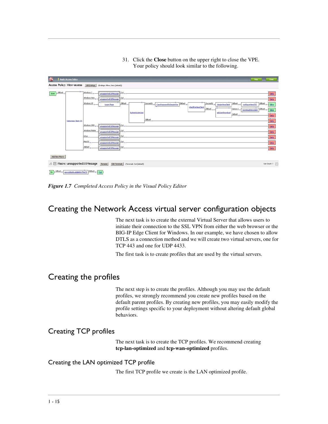- **15 L** Apply Acce Access Policy: View-access Edit Endings (Endings: Allow, Deny [default]) Rart Alback + Liatura Deny Denv Denv Add New Macro Edit Terminals | Cterium 2010 | Contact Terminals | Contact Terminals | Contact Contact Dut [default] Use Count:  $7\quad \boxed{\times}$ In Albert + serviceNotAvalableforThisOS Albert + 0x )
- 31. Click the **Close** button on the upper right to close the VPE. Your policy should look similar to the following.



## <span id="page-17-0"></span>Creating the Network Access virtual server configuration objects

The next task is to create the external Virtual Server that allows users to initiate their connection to the SSL VPN from either the web browser or the BIG-IP Edge Client for Windows. In our example, we have chosen to allow DTLS as a connection method and we will create two virtual servers, one for TCP 443 and one for UDP 4433.

The first task is to create profiles that are used by the virtual servers.

## <span id="page-17-1"></span>Creating the profiles

The next step is to create the profiles. Although you may use the default profiles, we strongly recommend you create new profiles based on the default parent profiles. By creating new profiles, you may easily modify the profile settings specific to your deployment without altering default global behaviors.

## Creating TCP profiles

The next task is to create the TCP profiles. We recommend creating **tcp-lan-optimized** and **tcp-wan-optimized** profiles.

#### Creating the LAN optimized TCP profile

The first TCP profile we create is the LAN optimized profile.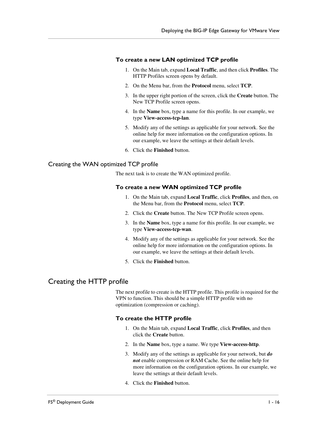#### **To create a new LAN optimized TCP profile**

- 1. On the Main tab, expand **Local Traffic**, and then click **Profiles**. The HTTP Profiles screen opens by default.
- 2. On the Menu bar, from the **Protocol** menu, select **TCP**.
- 3. In the upper right portion of the screen, click the **Create** button. The New TCP Profile screen opens.
- 4. In the **Name** box, type a name for this profile. In our example, we type **View-access-tcp-lan**.
- 5. Modify any of the settings as applicable for your network. See the online help for more information on the configuration options. In our example, we leave the settings at their default levels.
- 6. Click the **Finished** button.

#### Creating the WAN optimized TCP profile

The next task is to create the WAN optimized profile.

#### **To create a new WAN optimized TCP profile**

- 1. On the Main tab, expand **Local Traffic**, click **Profiles**, and then, on the Menu bar, from the **Protocol** menu, select **TCP**.
- 2. Click the **Create** button. The New TCP Profile screen opens.
- 3. In the **Name** box, type a name for this profile. In our example, we type **View-access-tcp-wan**.
- 4. Modify any of the settings as applicable for your network. See the online help for more information on the configuration options. In our example, we leave the settings at their default levels.
- 5. Click the **Finished** button.

## <span id="page-18-0"></span>Creating the HTTP profile

The next profile to create is the HTTP profile. This profile is required for the VPN to function. This should be a simple HTTP profile with no optimization (compression or caching).

#### **To create the HTTP profile**

- 1. On the Main tab, expand **Local Traffic**, click **Profiles**, and then click the **Create** button.
- 2. In the **Name** box, type a name. We type **View-access-http**.
- 3. Modify any of the settings as applicable for your network, but *do not* enable compression or RAM Cache. See the online help for more information on the configuration options. In our example, we leave the settings at their default levels.
- 4. Click the **Finished** button.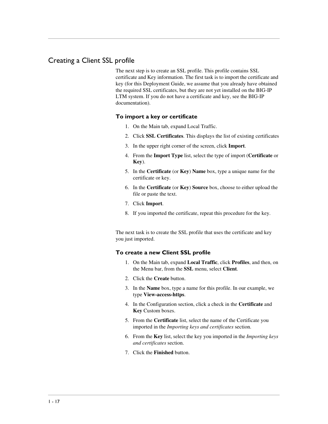## <span id="page-19-0"></span>Creating a Client SSL profile

The next step is to create an SSL profile. This profile contains SSL certificate and Key information. The first task is to import the certificate and key (for this Deployment Guide, we assume that you already have obtained the required SSL certificates, but they are not yet installed on the BIG-IP LTM system. If you do not have a certificate and key, see the BIG-IP documentation).

#### **To import a key or certificate**

- 1. On the Main tab, expand Local Traffic.
- 2. Click **SSL Certificates**. This displays the list of existing certificates
- 3. In the upper right corner of the screen, click **Import**.
- 4. From the **Import Type** list, select the type of import (**Certificate** or **Key**).
- 5. In the **Certificate** (or **Key**) **Name** box, type a unique name for the certificate or key.
- 6. In the **Certificate** (or **Key**) **Source** box, choose to either upload the file or paste the text.
- 7. Click **Import**.
- 8. If you imported the certificate, repeat this procedure for the key.

The next task is to create the SSL profile that uses the certificate and key you just imported.

#### **To create a new Client SSL profile**

- 1. On the Main tab, expand **Local Traffic**, click **Profiles**, and then, on the Menu bar, from the **SSL** menu, select **Client**.
- 2. Click the **Create** button.
- 3. In the **Name** box, type a name for this profile. In our example, we type **View-access-https**.
- 4. In the Configuration section, click a check in the **Certificate** and **Key** Custom boxes.
- 5. From the **Certificate** list, select the name of the Certificate you imported in the *Importing keys and certificates* section.
- 6. From the **Key** list, select the key you imported in the *Importing keys and certificates* section.
- 7. Click the **Finished** button.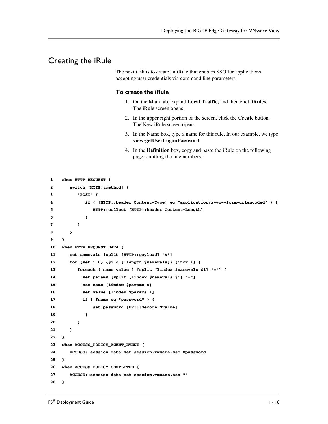## <span id="page-20-0"></span>Creating the iRule

The next task is to create an iRule that enables SSO for applications accepting user credentials via command line parameters.

#### **To create the iRule**

- 1. On the Main tab, expand **Local Traffic**, and then click **iRules**. The iRule screen opens.
- 2. In the upper right portion of the screen, click the **Create** button. The New iRule screen opens.
- 3. In the Name box, type a name for this rule. In our example, we type **view-getUserLogonPassword**.
- 4. In the **Definition** box, copy and paste the iRule on the following page, omitting the line numbers.

```
1
2
3
4
5
6
7
8
9
10
11
12
13
14
15
16
17
18
19
20
21
22
23
24
25
26
27
28
    when HTTP_REQUEST {
         switch [HTTP::method] {
            "POST" {
               if { [HTTP::header Content-Type] eq "application/x-www-form-urlencoded" } {
                  HTTP::collect [HTTP::header Content-Length]
      }
            }
         }
    } 
    when HTTP_REQUEST_DATA {
         set namevals [split [HTTP::payload] "&"]
         for {set i 0} {$i < [llength $namevals]} {incr i} {
            foreach { name value } [split [lindex $namevals $i] "="] {
              set params [split [lindex $namevals $i] "="]
              set name [lindex $params 0]
              set value [lindex $params 1]
              if { $name eq "password" } {
                  set password [URI::decode $value]
               }
            }
         }
    }
    when ACCESS_POLICY_AGENT_EVENT {
        ACCESS::session data set session.vmware.sso $password
    }
    when ACCESS_POLICY_COMPLETED {
        ACCESS::session data set session.vmware.sso ""
    }
```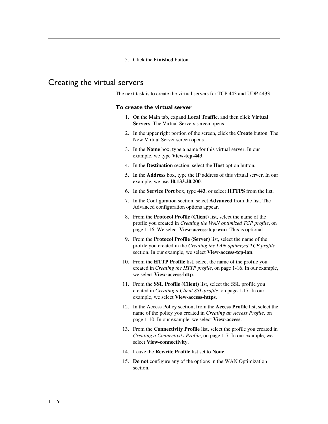5. Click the **Finished** button.

## <span id="page-21-0"></span>Creating the virtual servers

The next task is to create the virtual servers for TCP 443 and UDP 4433.

#### **To create the virtual server**

- 1. On the Main tab, expand **Local Traffic**, and then click **Virtual Servers**. The Virtual Servers screen opens.
- 2. In the upper right portion of the screen, click the **Create** button. The New Virtual Server screen opens.
- 3. In the **Name** box, type a name for this virtual server. In our example, we type **View-tcp-443**.
- 4. In the **Destination** section, select the **Host** option button.
- 5. In the **Address** box, type the IP address of this virtual server. In our example, we use **10.133.20.200**.
- 6. In the **Service Port** box, type **443**, or select **HTTPS** from the list.
- 7. In the Configuration section, select **Advanced** from the list. The Advanced configuration options appear.
- 8. From the **Protocol Profile (Client)** list, select the name of the profile you created in *Creating the WAN optimized TCP profile*, on page 1-16. We select **View-access-tcp-wan**. This is optional.
- 9. From the **Protocol Profile (Server)** list, select the name of the profile you created in the *Creating the LAN optimized TCP profile*  section. In our example, we select **View-access-tcp-lan**.
- 10. From the **HTTP Profile** list, select the name of the profile you created in *[Creating the HTTP profile](#page-18-0)*, on page 1-16. In our example, we select **View-access-http**.
- 11. From the **SSL Profile (Client)** list, select the SSL profile you created in *[Creating a Client SSL profile](#page-19-0)*, on page 1-17. In our example, we select **View-access-https**.
- 12. In the Access Policy section, from the **Access Profile** list, select the name of the policy you created in *[Creating an Access Profile](#page-12-0)*, on [page 1-10](#page-12-0). In our example, we select **View-access**.
- 13. From the **Connectivity Profile** list, select the profile you created in *[Creating a Connectivity Profile](#page-9-0)*, on page 1-7. In our example, we select **View-connectivity**.
- 14. Leave the **Rewrite Profile** list set to **None**.
- 15. **Do not** configure any of the options in the WAN Optimization section.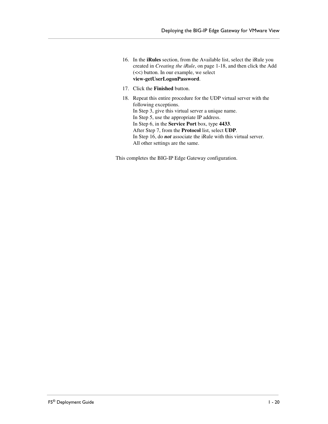- 16. In the **iRules** section, from the Available list, select the iRule you created in *[Creating the iRule](#page-20-0)*, on page 1-18, and then click the Add (<<) button. In our example, we select **view-getUserLogonPassword**.
- 17. Click the **Finished** button.
- 18. Repeat this entire procedure for the UDP virtual server with the following exceptions. In Step 3, give this virtual server a unique name. In Step 5, use the appropriate IP address. In Step 6, in the **Service Port** box, type **4433**. After Step 7, from the **Protocol** list, select **UDP**. In Step 16, do *not* associate the iRule with this virtual server. All other settings are the same.

This completes the BIG-IP Edge Gateway configuration.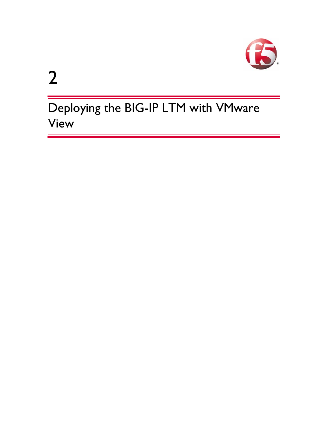

2

Deploying the BIG-IP LTM with VMware View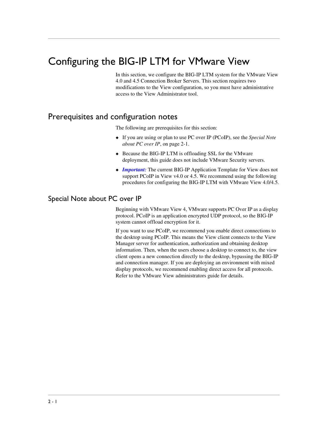# <span id="page-25-2"></span><span id="page-25-0"></span>Configuring the BIG-IP LTM for VMware View

In this section, we configure the BIG-IP LTM system for the VMware View 4.0 and 4.5 Connection Broker Servers. This section requires two modifications to the View configuration, so you must have administrative access to the View Administrator tool.

## <span id="page-25-1"></span>Prerequisites and configuration notes

The following are prerequisites for this section:

- ◆ If you are using or plan to use PC over IP (PCoIP), see the *[Special Note](#page-25-4)  [about PC over IP](#page-25-4)*, on page 2-1.
- ◆ Because the BIG-IP LTM is offloading SSL for the VMware deployment, this guide does not include VMware Security servers.
- ◆ *Important:* The current BIG-IP Application Template for View does not support PCoIP in View v4.0 or 4.5. We recommend using the following procedures for configuring the BIG-IP LTM with VMware View 4.0/4.5.

## <span id="page-25-4"></span><span id="page-25-3"></span>Special Note about PC over IP

Beginning with VMware View 4, VMware supports PC Over IP as a display protocol. PCoIP is an application encrypted UDP protocol, so the BIG-IP system cannot offload encryption for it.

If you want to use PCoIP, we recommend you enable direct connections to the desktop using PCoIP. This means the View client connects to the View Manager server for authentication, authorization and obtaining desktop information. Then, when the users choose a desktop to connect to, the view client opens a new connection directly to the desktop, bypassing the BIG-IP and connection manager. If you are deploying an environment with mixed display protocols, we recommend enabling direct access for all protocols. Refer to the VMware View administrators guide for details.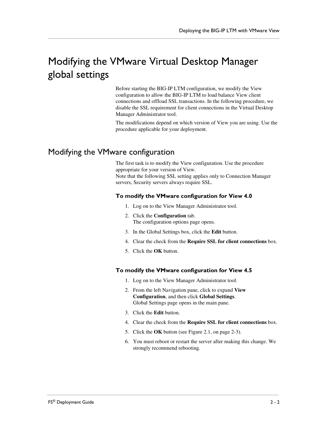# <span id="page-26-0"></span>Modifying the VMware Virtual Desktop Manager global settings

Before starting the BIG-IP LTM configuration, we modify the View configuration to allow the BIG-IP LTM to load balance View client connections and offload SSL transactions. In the following procedure, we disable the SSL requirement for client connections in the Virtual Desktop Manager Administrator tool.

The modifications depend on which version of View you are using. Use the procedure applicable for your deployment.

# <span id="page-26-1"></span>Modifying the VMware configuration

The first task is to modify the View configuration. Use the procedure appropriate for your version of View. Note that the following SSL setting applies only to Connection Manager servers, Security servers always require SSL.

### **To modify the VMware configuration for View 4.0**

- 1. Log on to the View Manager Administrator tool.
- 2. Click the **Configuration** tab. The configuration options page opens.
- 3. In the Global Settings box, click the **Edit** button.
- 4. Clear the check from the **Require SSL for client connections** box.
- 5. Click the **OK** button.

### **To modify the VMware configuration for View 4.5**

- 1. Log on to the View Manager Administrator tool.
- 2. From the left Navigation pane, click to expand **View Configuration**, and then click **Global Settings**. Global Settings page opens in the main pane.
- 3. Click the **Edit** button.
- 4. Clear the check from the **Require SSL for client connections** box.
- 5. Click the **OK** button (see Figure [2.1, on page 2-3](#page-27-1)).
- 6. You must reboot or restart the server after making this change. We strongly recommend rebooting.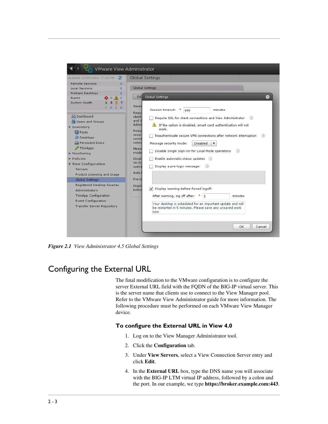

*Figure 2.1 View Administrator 4.5 Global Settings*

# <span id="page-27-1"></span><span id="page-27-0"></span>Configuring the External URL

The final modification to the VMware configuration is to configure the server External URL field with the FQDN of the BIG-IP virtual server. This is the server name that clients use to connect to the View Manager pool. Refer to the VMware View Administrator guide for more information. The following procedure must be performed on each VMware View Manager device.

### **To configure the External URL in View 4.0**

- 1. Log on to the View Manager Administrator tool.
- 2. Click the **Configuration** tab.
- 3. Under **View Servers**, select a View Connection Server entry and click **Edit**.
- 4. In the **External URL** box, type the DNS name you will associate with the BIG-IP LTM virtual IP address, followed by a colon and the port. In our example, we type **https://broker.example.com:443**.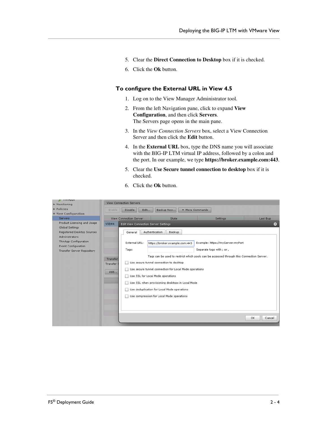- 5. Clear the **Direct Connection to Desktop** box if it is checked.
- 6. Click the **Ok** button.

#### **To configure the External URL in View 4.5**

- 1. Log on to the View Manager Administrator tool.
- 2. From the left Navigation pane, click to expand **View Configuration**, and then click **Servers**. The Servers page opens in the main pane.
- 3. In the *View Connection Servers* box, select a View Connection Server and then click the **Edit** button.
- 4. In the **External URL** box, type the DNS name you will associate with the BIG-IP LTM virtual IP address, followed by a colon and the port. In our example, we type **https://broker.example.com:443**.
- 5. Clear the **Use Secure tunnel connection to desktop** box if it is checked.
- 6. Click the **Ok** button.

| munpps<br>▶ Monitoring                                                                                                                                                                            | <b>View Connection Servers</b>                                                                                                                                                                                                                                                                                                                                                                                                                                                                                                                                                                                                                                          |  |  |  |
|---------------------------------------------------------------------------------------------------------------------------------------------------------------------------------------------------|-------------------------------------------------------------------------------------------------------------------------------------------------------------------------------------------------------------------------------------------------------------------------------------------------------------------------------------------------------------------------------------------------------------------------------------------------------------------------------------------------------------------------------------------------------------------------------------------------------------------------------------------------------------------------|--|--|--|
| $\triangleright$ Policies                                                                                                                                                                         | More Commands<br>Edit<br>Backup Now<br><b>Disable</b><br>Enable                                                                                                                                                                                                                                                                                                                                                                                                                                                                                                                                                                                                         |  |  |  |
| <b>View Configuration</b>                                                                                                                                                                         |                                                                                                                                                                                                                                                                                                                                                                                                                                                                                                                                                                                                                                                                         |  |  |  |
| <b>Servers</b>                                                                                                                                                                                    | <b>View Connection Server</b><br><b>Settings</b><br>Last Bup<br>State                                                                                                                                                                                                                                                                                                                                                                                                                                                                                                                                                                                                   |  |  |  |
| Product Licensing and Usage<br>Global Settings<br>Registered Desktop Sources<br><b>Administrators</b><br>ThinApp Configuration<br><b>Event Configuration</b><br><b>Transfer Server Repository</b> | VIEW4<br>$\bullet$<br>Edit View Connection Server Settings<br>Backup<br>Authentication<br>General<br>External URL:<br>Example: https://myServer:myPort<br>https://broker.example.com:443<br>Separate tags with ; or,<br>Tags:<br>Tags can be used to restrict which pools can be accessed through this Connection Server.<br>Transfer<br>Use secure tunnel connection to desktop<br>w<br>Transfer<br>Use secure tunnel connection for Local Mode operations<br>Add<br>Use SSL for Local Mode operations<br>Use SSL when provisioning desktops in Local Mode<br>Use deduplication for Local Mode operations<br>Use compression for Local Mode operations<br>OK<br>Cancel |  |  |  |
|                                                                                                                                                                                                   |                                                                                                                                                                                                                                                                                                                                                                                                                                                                                                                                                                                                                                                                         |  |  |  |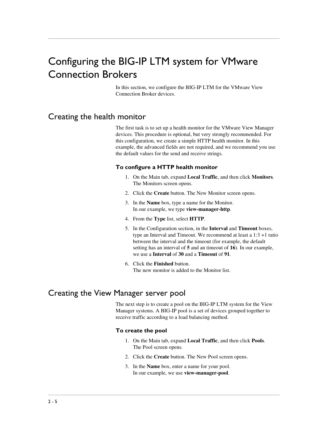# <span id="page-29-0"></span>Configuring the BIG-IP LTM system for VMware Connection Brokers

In this section, we configure the BIG-IP LTM for the VMware View Connection Broker devices.

## <span id="page-29-1"></span>Creating the health monitor

The first task is to set up a health monitor for the VMware View Manager devices. This procedure is optional, but very strongly recommended. For this configuration, we create a simple HTTP health monitor. In this example, the advanced fields are not required, and we recommend you use the default values for the send and receive strings.

#### **To configure a HTTP health monitor**

- 1. On the Main tab, expand **Local Traffic**, and then click **Monitors**. The Monitors screen opens.
- 2. Click the **Create** button. The New Monitor screen opens.
- 3. In the **Name** box, type a name for the Monitor. In our example, we type **view-manager-http**.
- 4. From the **Type** list, select **HTTP**.
- 5. In the Configuration section, in the **Interval** and **Timeout** boxes, type an Interval and Timeout. We recommend at least a 1:3 +1 ratio between the interval and the timeout (for example, the default setting has an interval of **5** and an timeout of **16**). In our example, we use a **Interval** of **30** and a **Timeout** of **91**.
- 6. Click the **Finished** button. The new monitor is added to the Monitor list.

# <span id="page-29-2"></span>Creating the View Manager server pool

The next step is to create a pool on the BIG-IP LTM system for the View Manager systems. A BIG-IP pool is a set of devices grouped together to receive traffic according to a load balancing method.

#### **To create the pool**

- 1. On the Main tab, expand **Local Traffic**, and then click **Pools**. The Pool screen opens.
- 2. Click the **Create** button. The New Pool screen opens.
- 3. In the **Name** box, enter a name for your pool. In our example, we use **view-manager-pool**.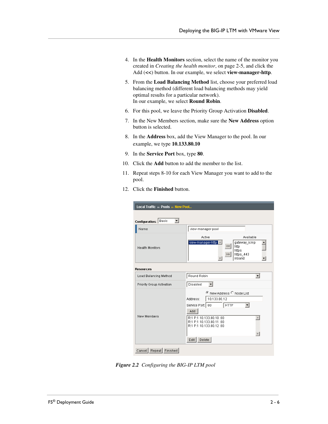- 4. In the **Health Monitors** section, select the name of the monitor you created in *[Creating the health monitor](#page-29-1)*, on page 2-5, and click the Add (**<<**) button. In our example, we select **view-manager-http**.
- 5. From the **Load Balancing Method** list, choose your preferred load balancing method (different load balancing methods may yield optimal results for a particular network). In our example, we select **Round Robin**.
- 6. For this pool, we leave the Priority Group Activation **Disabled**.
- 7. In the New Members section, make sure the **New Address** option button is selected.
- 8. In the **Address** box, add the View Manager to the pool. In our example, we type **10.133.80.10**
- 9. In the **Service Port** box, type **80**.
- 10. Click the **Add** button to add the member to the list.
- 11. Repeat steps 8-10 for each View Manager you want to add to the pool.
- 12. Click the **Finished** button.

| Local Traffic » Pools » New Pool |                                                                                                                                                                                                          |  |  |
|----------------------------------|----------------------------------------------------------------------------------------------------------------------------------------------------------------------------------------------------------|--|--|
| Configuration: Basic<br>▾∣       |                                                                                                                                                                                                          |  |  |
| Name                             | view-manager-pool                                                                                                                                                                                        |  |  |
| <b>Health Monitors</b>           | Active<br>Available<br>view-manager-http<br>gateway icmp<br>$<$ $<$<br>http<br>https<br>https_443<br>><br>inband                                                                                         |  |  |
| <b>Resources</b>                 |                                                                                                                                                                                                          |  |  |
| Load Balancing Method            | Round Robin<br>▼                                                                                                                                                                                         |  |  |
| Priority Group Activation        | Disabled                                                                                                                                                                                                 |  |  |
| New Members                      | C New Address C Node List<br>Address:<br>10.133.80.12<br>Service Port:   80<br><b>HTTP</b><br>Add<br>R:1 P:1 10.133.80.10:80<br>R:1 P:1 10.133.80.11:80<br>R:1 P:1 10.133.80.12 :80<br>$E$ dit<br>Delete |  |  |
| Cancel Repeat Finished           |                                                                                                                                                                                                          |  |  |

*Figure 2.2 Configuring the BIG-IP LTM pool*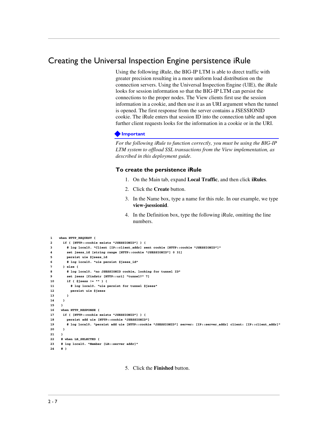# <span id="page-31-0"></span>Creating the Universal Inspection Engine persistence iRule

Using the following iRule, the BIG-IP LTM is able to direct traffic with greater precision resulting in a more uniform load distribution on the connection servers. Using the Universal Inspection Engine (UIE), the iRule looks for session information so that the BIG-IP LTM can persist the connections to the proper nodes. The View clients first use the session information in a cookie, and then use it as an URI argument when the tunnel is opened. The first response from the server contains a JSESSIONID cookie. The iRule enters that session ID into the connection table and upon further client requests looks for the information in a cookie or in the URI.

#### **Important**

*For the following iRule to function correctly, you must be using the BIG-IP LTM system to offload SSL transactions from the View implementation, as described in this deployment guide.*

#### **To create the persistence iRule**

- 1. On the Main tab, expand **Local Traffic**, and then click **iRules**.
- 2. Click the **Create** button.
- 3. In the Name box, type a name for this rule. In our example, we type **view-jsessionid**.
- 4. In the Definition box, type the following iRule, omitting the line numbers.

```
1
2
3
4
5
6
7
8
9
10
11
12
13
14
15
16
17
18
19
20
21
22
23
 # log local0. "Member [LB::server addr]"
24
   when HTTP_REQUEST {
      if { [HTTP::cookie exists "JSESSIONID"] } {
         # log local0. "Client [IP::client_addr] sent cookie [HTTP::cookie "JSESSIONID"]"
         set jsess_id [string range [HTTP::cookie "JSESSIONID"] 0 31]
         persist uie $jsess_id
         # log local0. "uie persist $jsess_id"
       } else {
         # log local0. "no JSESSIONID cookie, looking for tunnel ID"
         set jsess [findstr [HTTP::uri] "tunnel?" 7]
         if { $jsess != "" } {
           # log local0. "uie persist for tunnel $jsess"
           persist uie $jsess
         }
       }
      }
      when HTTP_RESPONSE {
       if { [HTTP::cookie exists "JSESSIONID"] } {
         persist add uie [HTTP::cookie "JSESSIONID"]
         # log local0. "persist add uie [HTTP::cookie "JSESSIONID"] server: [IP::server_addr] client: [IP::client_addr]"
      }
      }
      # when LB_SELECTED {
     # }
```
5. Click the **Finished** button.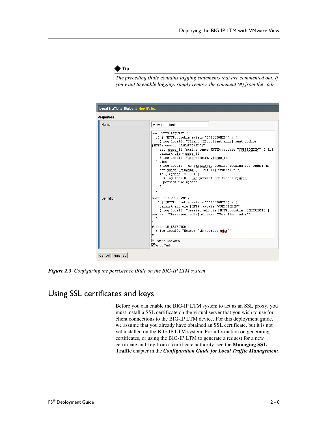

*The preceding iRule contains logging statements that are commented out. If you want to enable logging, simply remove the comment (#) from the code.*

| <b>Properties</b> |                                                                                                                                                                                                                                                                                                                                                                                                                                                                                                                                                                                                                                                                                                                                                                                                                                                                |  |
|-------------------|----------------------------------------------------------------------------------------------------------------------------------------------------------------------------------------------------------------------------------------------------------------------------------------------------------------------------------------------------------------------------------------------------------------------------------------------------------------------------------------------------------------------------------------------------------------------------------------------------------------------------------------------------------------------------------------------------------------------------------------------------------------------------------------------------------------------------------------------------------------|--|
| Name              | view-jsessionid                                                                                                                                                                                                                                                                                                                                                                                                                                                                                                                                                                                                                                                                                                                                                                                                                                                |  |
| Definition        | when HTTP REQUEST {<br>if { [HTTP::cookie exists "JSESSIONID"] } {<br># log local0. "Client [IP::client addr] sent cookie<br>[HTTP::cookie "JSESSIONID"]"<br>set jsess id [string range [HTTP::cookie "JSESSIONID"] 0 31]<br>persist uie \$jsess id<br># log local0. "uie persist \$jsess id"<br>$\}$ else $\{$<br># log local0. "no JSESSIONID cookie, looking for tunnel ID"<br>set jsess [findstr [HTTP::uri] "tunnel?" 7]<br>if { $$jsess != "" }$ } {<br># log local0. "uie persist for tunnel \$jsess"<br>persist uie \$jsess<br>when HTTP RESPONSE {<br>if { [HTTP::cookie exists "JSESSIONID"] } {<br>persist add uie [HTTP::cookie "JSESSIONID"]<br># log local0. "persist add uie [HTTP::cookie "JSESSIONID"]<br>server: [IP::server addr] client: [IP::client addr]"<br>$\#$ when LB SELECTED {<br># log local0. "Member [LB::server addr]"<br>ו #∥ |  |
|                   | ■ Extend Text Area<br>Mrap Text                                                                                                                                                                                                                                                                                                                                                                                                                                                                                                                                                                                                                                                                                                                                                                                                                                |  |

*Figure 2.3 Configuring the persistence iRule on the BIG-IP LTM system*

# <span id="page-32-0"></span>Using SSL certificates and keys

Before you can enable the BIG-IP LTM system to act as an SSL proxy, you must install a SSL certificate on the virtual server that you wish to use for client connections to the BIG-IP LTM device. For this deployment guide, we assume that you already have obtained an SSL certificate, but it is not yet installed on the BIG-IP LTM system. For information on generating certificates, or using the BIG-IP LTM to generate a request for a new certificate and key from a certificate authority, see the **Managing SSL Traffic** chapter in the *Configuration Guide for Local Traffic Management*.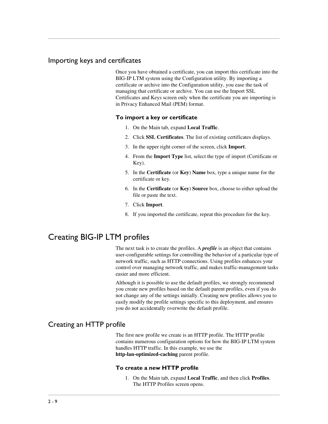## Importing keys and certificates

Once you have obtained a certificate, you can import this certificate into the BIG-IP LTM system using the Configuration utility. By importing a certificate or archive into the Configuration utility, you ease the task of managing that certificate or archive. You can use the Import SSL Certificates and Keys screen only when the certificate you are importing is in Privacy Enhanced Mail (PEM) format.

#### **To import a key or certificate**

- 1. On the Main tab, expand **Local Traffic**.
- 2. Click **SSL Certificates**. The list of existing certificates displays.
- 3. In the upper right corner of the screen, click **Import**.
- 4. From the **Import Type** list, select the type of import (Certificate or Key).
- 5. In the **Certificate** (or **Key**) **Name** box, type a unique name for the certificate or key.
- 6. In the **Certificate** (or **Key**) **Source** box, choose to either upload the file or paste the text.
- 7. Click **Import**.
- 8. If you imported the certificate, repeat this procedure for the key.

# <span id="page-33-0"></span>Creating BIG-IP LTM profiles

The next task is to create the profiles. A *profile* is an object that contains user-configurable settings for controlling the behavior of a particular type of network traffic, such as HTTP connections. Using profiles enhances your control over managing network traffic, and makes traffic-management tasks easier and more efficient.

Although it is possible to use the default profiles, we strongly recommend you create new profiles based on the default parent profiles, even if you do not change any of the settings initially. Creating new profiles allows you to easily modify the profile settings specific to this deployment, and ensures you do not accidentally overwrite the default profile.

## Creating an HTTP profile

The first new profile we create is an HTTP profile. The HTTP profile contains numerous configuration options for how the BIG-IP LTM system handles HTTP traffic. In this example, we use the **http-lan-optimized-caching** parent profile.

#### **To create a new HTTP profile**

1. On the Main tab, expand **Local Traffic**, and then click **Profiles**. The HTTP Profiles screen opens.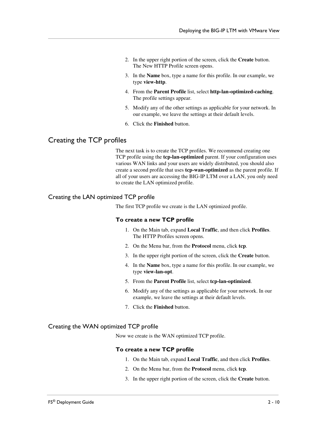- 2. In the upper right portion of the screen, click the **Create** button. The New HTTP Profile screen opens.
- 3. In the **Name** box, type a name for this profile. In our example, we type **view-http**.
- 4. From the **Parent Profile** list, select **http-lan-optimized-caching**. The profile settings appear.
- 5. Modify any of the other settings as applicable for your network. In our example, we leave the settings at their default levels.
- 6. Click the **Finished** button.

### Creating the TCP profiles

The next task is to create the TCP profiles. We recommend creating one TCP profile using the **tcp-lan-optimized** parent. If your configuration uses various WAN links and your users are widely distributed, you should also create a second profile that uses **tcp-wan-optimized** as the parent profile. If all of your users are accessing the BIG-IP LTM over a LAN, you only need to create the LAN optimized profile.

### Creating the LAN optimized TCP profile

The first TCP profile we create is the LAN optimized profile.

#### **To create a new TCP profile**

- 1. On the Main tab, expand **Local Traffic**, and then click **Profiles**. The HTTP Profiles screen opens.
- 2. On the Menu bar, from the **Protocol** menu, click **tcp**.
- 3. In the upper right portion of the screen, click the **Create** button.
- 4. In the **Name** box, type a name for this profile. In our example, we type **view-lan-opt**.
- 5. From the **Parent Profile** list, select **tcp-lan-optimized**.
- 6. Modify any of the settings as applicable for your network. In our example, we leave the settings at their default levels.
- 7. Click the **Finished** button.

#### Creating the WAN optimized TCP profile

Now we create is the WAN optimized TCP profile.

#### **To create a new TCP profile**

- 1. On the Main tab, expand **Local Traffic**, and then click **Profiles**.
- 2. On the Menu bar, from the **Protocol** menu, click **tcp**.
- 3. In the upper right portion of the screen, click the **Create** button.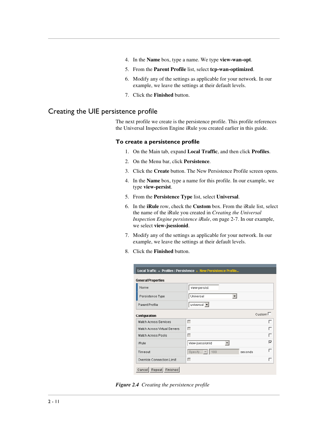- 4. In the **Name** box, type a name. We type **view-wan-opt**.
- 5. From the **Parent Profile** list, select **tcp-wan-optimized**.
- 6. Modify any of the settings as applicable for your network. In our example, we leave the settings at their default levels.
- 7. Click the **Finished** button.

## Creating the UIE persistence profile

The next profile we create is the persistence profile. This profile references the Universal Inspection Engine iRule you created earlier in this guide.

#### **To create a persistence profile**

- 1. On the Main tab, expand **Local Traffic**, and then click **Profiles**.
- 2. On the Menu bar, click **Persistence**.
- 3. Click the **Create** button. The New Persistence Profile screen opens.
- 4. In the **Name** box, type a name for this profile. In our example, we type **view-persist**.
- 5. From the **Persistence Type** list, select **Universal**.
- 6. In the **iRule** row, check the **Custom** box. From the iRule list, select the name of the iRule you created in *[Creating the Universal](#page-31-0)  [Inspection Engine persistence iRule](#page-31-0)*, on page 2-7. In our example, we select **view-jsessionid**.
- 7. Modify any of the settings as applicable for your network. In our example, we leave the settings at their default levels.
- 8. Click the **Finished** button.

| Local Traffic » Profiles: Persistence » New Persistence Profile |                                                |  |  |  |
|-----------------------------------------------------------------|------------------------------------------------|--|--|--|
| <b>General Properties</b>                                       |                                                |  |  |  |
| Name                                                            | view-persist                                   |  |  |  |
| Persistence Type                                                | Universal                                      |  |  |  |
| Parent Profile                                                  | universal $\blacktriangledown$                 |  |  |  |
| Custom $\square$<br>Configuration                               |                                                |  |  |  |
| Match Across Services                                           | г<br>┍                                         |  |  |  |
| Match Across Virtual Servers                                    | г                                              |  |  |  |
| Match Across Pools                                              | г                                              |  |  |  |
| iRule                                                           | ⊽<br>view-jsessionid                           |  |  |  |
| Timeout                                                         | Specify $\blacktriangledown$<br>180<br>seconds |  |  |  |
| Override Connection Limit                                       | г<br>□                                         |  |  |  |
| Repeat<br>Finished<br>Cancel                                    |                                                |  |  |  |

*Figure 2.4 Creating the persistence profile*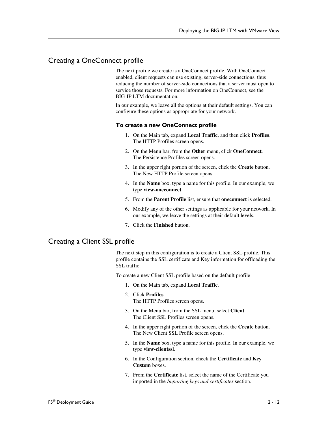## Creating a OneConnect profile

The next profile we create is a OneConnect profile. With OneConnect enabled, client requests can use existing, server-side connections, thus reducing the number of server-side connections that a server must open to service those requests. For more information on OneConnect, see the BIG-IP LTM documentation.

In our example, we leave all the options at their default settings. You can configure these options as appropriate for your network.

#### **To create a new OneConnect profile**

- 1. On the Main tab, expand **Local Traffic**, and then click **Profiles**. The HTTP Profiles screen opens.
- 2. On the Menu bar, from the **Other** menu, click **OneConnect**. The Persistence Profiles screen opens.
- 3. In the upper right portion of the screen, click the **Create** button. The New HTTP Profile screen opens.
- 4. In the **Name** box, type a name for this profile. In our example, we type **view-oneconnect**.
- 5. From the **Parent Profile** list, ensure that **oneconnect** is selected.
- 6. Modify any of the other settings as applicable for your network. In our example, we leave the settings at their default levels.
- 7. Click the **Finished** button.

### Creating a Client SSL profile

The next step in this configuration is to create a Client SSL profile. This profile contains the SSL certificate and Key information for offloading the SSL traffic.

To create a new Client SSL profile based on the default profile

- 1. On the Main tab, expand **Local Traffic**.
- 2. Click **Profiles**. The HTTP Profiles screen opens.
- 3. On the Menu bar, from the SSL menu, select **Client**. The Client SSL Profiles screen opens.
- 4. In the upper right portion of the screen, click the **Create** button. The New Client SSL Profile screen opens.
- 5. In the **Name** box, type a name for this profile. In our example, we type **view-clientssl**.
- 6. In the Configuration section, check the **Certificate** and **Key Custom** boxes.
- 7. From the **Certificate** list, select the name of the Certificate you imported in the *Importing keys and certificates* section.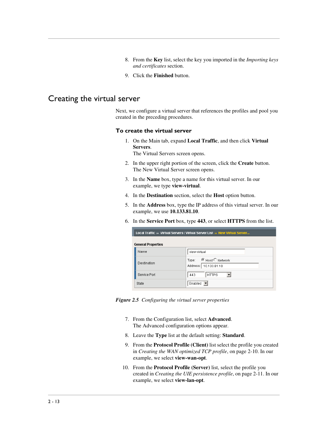- 8. From the **Key** list, select the key you imported in the *Importing keys and certificates* section.
- 9. Click the **Finished** button.

## <span id="page-37-1"></span><span id="page-37-0"></span>Creating the virtual server

Next, we configure a virtual server that references the profiles and pool you created in the preceding procedures.

#### **To create the virtual server**

- 1. On the Main tab, expand **Local Traffic**, and then click **Virtual Servers**. The Virtual Servers screen opens.
- 2. In the upper right portion of the screen, click the **Create** button. The New Virtual Server screen opens.
- 3. In the **Name** box, type a name for this virtual server. In our example, we type **view-virtual**.
- 4. In the **Destination** section, select the **Host** option button.
- 5. In the **Address** box, type the IP address of this virtual server. In our example, we use **10.133.81.10**.
- 6. In the **Service Port** box, type **443**, or select **HTTPS** from the list.

| Local Traffic » Virtual Servers : Virtual Server List » New Virtual Server |                                                 |  |
|----------------------------------------------------------------------------|-------------------------------------------------|--|
| <b>General Properties</b>                                                  |                                                 |  |
| <b>Name</b>                                                                | view-virtual                                    |  |
| Destination                                                                | Type: ● Host ○ Network<br>Address: 10.133.81.10 |  |
| Service Port                                                               | <b>HTTPS</b><br>443                             |  |
| State                                                                      | Enabled                                         |  |

*Figure 2.5 Configuring the virtual server properties*

- 7. From the Configuration list, select **Advanced**. The Advanced configuration options appear.
- 8. Leave the **Type** list at the default setting: **Standard**.
- 9. From the **Protocol Profile (Client)** list select the profile you created in *Creating the WAN optimized TCP profile*, on page 2-10. In our example, we select **view-wan-opt**.
- 10. From the **Protocol Profile (Server)** list, select the profile you created in *Creating the UIE persistence profile*, on page 2-11. In our example, we select **view-lan-opt**.